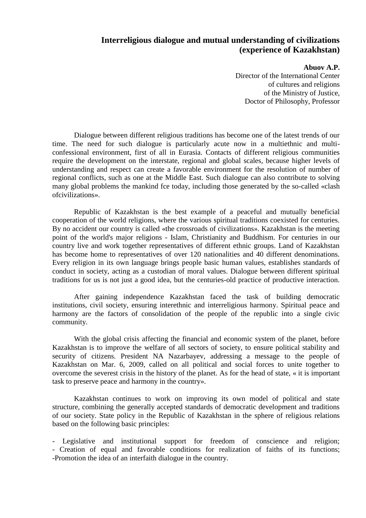## **Interreligious dialogue and mutual understanding of civilizations (experience of Kazakhstan)**

## **Abuov A.P.**

Director of the International Center of cultures and religions of the Ministry of Justice, Doctor of Philosophy, Professor

Dialogue between different religious traditions has become one of the latest trends of our time. The need for such dialogue is particularly acute now in a multiethnic and multiconfessional environment, first of all in Eurasia. Contacts of different religious communities require the development on the interstate, regional and global scales, because higher levels of understanding and respect can create a favorable environment for the resolution of number of regional conflicts, such as one at the Middle East. Such dialogue can also contribute to solving many global problems the mankind fce today, including those generated by the so-called «clash ofcivilizations».

Republic of Kazakhstan is the best example of a peaceful and mutually beneficial cooperation of the world religions, where the various spiritual traditions coexisted for centuries. By no accident our country is called «the crossroads of civilizations». Kazakhstan is the meeting point of the world's major religions - Islam, Christianity and Buddhism. For centuries in our country live and work together representatives of different ethnic groups. Land of Kazakhstan has become home to representatives of over 120 nationalities and 40 different denominations. Every religion in its own language brings people basic human values, establishes standards of conduct in society, acting as a custodian of moral values. Dialogue between different spiritual traditions for us is not just a good idea, but the centuries-old practice of productive interaction.

After gaining independence Kazakhstan faced the task of building democratic institutions, civil society, ensuring interethnic and interreligious harmony. Spiritual peace and harmony are the factors of consolidation of the people of the republic into a single civic community.

With the global crisis affecting the financial and economic system of the planet, before Kazakhstan is to improve the welfare of all sectors of society, to ensure political stability and security of citizens. President NA Nazarbayev, addressing a message to the people of Kazakhstan on Mar. 6, 2009, called on all political and social forces to unite together to overcome the severest crisis in the history of the planet. As for the head of state, « it is important task to preserve peace and harmony in the country».

Kazakhstan continues to work on improving its own model of political and state structure, combining the generally accepted standards of democratic development and traditions of our society. State policy in the Republic of Kazakhstan in the sphere of religious relations based on the following basic principles:

- Legislative and institutional support for freedom of conscience and religion; - Creation of equal and favorable conditions for realization of faiths of its functions; -Promotion the idea of an interfaith dialogue in the country.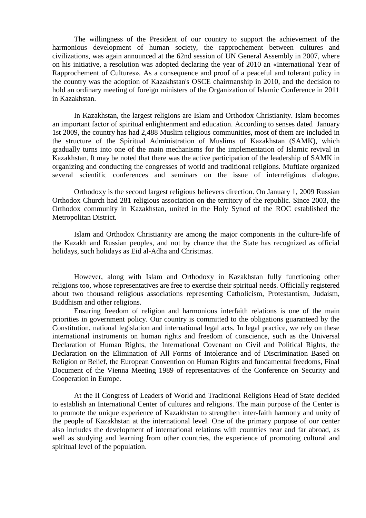The willingness of the President of our country to support the achievement of the harmonious development of human society, the rapprochement between cultures and civilizations, was again announced at the 62nd session of UN General Assembly in 2007, where on his initiative, a resolution was adopted declaring the year of 2010 an «International Year of Rapprochement of Cultures». As a consequence and proof of a peaceful and tolerant policy in the country was the adoption of Kazakhstan's OSCE chairmanship in 2010, and the decision to hold an ordinary meeting of foreign ministers of the Organization of Islamic Conference in 2011 in Kazakhstan.

In Kazakhstan, the largest religions are Islam and Orthodox Christianity. Islam becomes an important factor of spiritual enlightenment and education. According to senses dated January 1st 2009, the country has had 2,488 Muslim religious communities, most of them are included in the structure of the Spiritual Administration of Muslims of Kazakhstan (SAMK), which gradually turns into one of the main mechanisms for the implementation of Islamic revival in Kazakhstan. It may be noted that there was the active participation of the leadership of SAMK in organizing and conducting the congresses of world and traditional religions. Muftiate organized several scientific conferences and seminars on the issue of interreligious dialogue.

Orthodoxy is the second largest religious believers direction. On January 1, 2009 Russian Orthodox Church had 281 religious association on the territory of the republic. Since 2003, the Orthodox community in Kazakhstan, united in the Holy Synod of the ROC established the Metropolitan District.

Islam and Orthodox Christianity are among the major components in the culture-life of the Kazakh and Russian peoples, and not by chance that the State has recognized as official holidays, such holidays as Eid al-Adha and Christmas.

However, along with Islam and Orthodoxy in Kazakhstan fully functioning other religions too, whose representatives are free to exercise their spiritual needs. Officially registered about two thousand religious associations representing Catholicism, Protestantism, Judaism, Buddhism and other religions.

Ensuring freedom of religion and harmonious interfaith relations is one of the main priorities in government policy. Our country is committed to the obligations guaranteed by the Constitution, national legislation and international legal acts. In legal practice, we rely on these international instruments on human rights and freedom of conscience, such as the Universal Declaration of Human Rights, the International Covenant on Civil and Political Rights, the Declaration on the Elimination of All Forms of Intolerance and of Discrimination Based on Religion or Belief, the European Convention on Human Rights and fundamental freedoms, Final Document of the Vienna Meeting 1989 of representatives of the Conference on Security and Cooperation in Europe.

At the II Congress of Leaders of World and Traditional Religions Head of State decided to establish an International Center of cultures and religions. The main purpose of the Center is to promote the unique experience of Kazakhstan to strengthen inter-faith harmony and unity of the people of Kazakhstan at the international level. One of the primary purpose of our center also includes the development of international relations with countries near and far abroad, as well as studying and learning from other countries, the experience of promoting cultural and spiritual level of the population.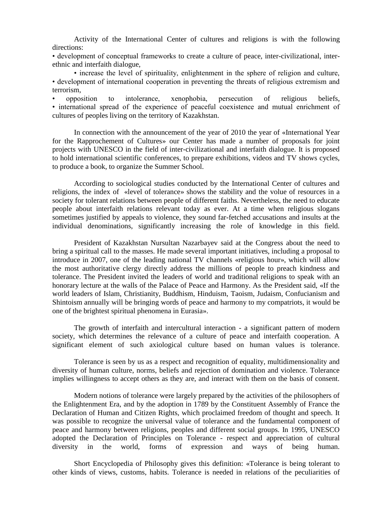Activity of the International Center of cultures and religions is with the following directions:

• development of conceptual frameworks to create a culture of peace, inter-civilizational, interethnic and interfaith dialogue,

• increase the level of spirituality, enlightenment in the sphere of religion and culture, • development of international cooperation in preventing the threats of religious extremism and terrorism,

• opposition to intolerance, xenophobia, persecution of religious beliefs, • international spread of the experience of peaceful coexistence and mutual enrichment of cultures of peoples living on the territory of Kazakhstan.

In connection with the announcement of the year of 2010 the year of «International Year for the Rapprochement of Cultures» our Center has made a number of proposals for joint projects with UNESCO in the field of inter-civilizational and interfaith dialogue. It is proposed to hold international scientific conferences, to prepare exhibitions, videos and TV shows cycles, to produce a book, to organize the Summer School.

According to sociological studies conducted by the International Center of cultures and religions, the index of «level of tolerance» shows the stability and the volue of resources in a society for tolerant relations between people of different faiths. Nevertheless, the need to educate people about interfaith relations relevant today as ever. At a time when religious slogans sometimes justified by appeals to violence, they sound far-fetched accusations and insults at the individual denominations, significantly increasing the role of knowledge in this field.

President of Kazakhstan Nursultan Nazarbayev said at the Congress about the need to bring a spiritual call to the masses. He made several important initiatives, including a proposal to introduce in 2007, one of the leading national TV channels «religious hour», which will allow the most authoritative clergy directly address the millions of people to preach kindness and tolerance. The President invited the leaders of world and traditional religions to speak with an honorary lecture at the walls of the Palace of Peace and Harmony. As the President said, «If the world leaders of Islam, Christianity, Buddhism, Hinduism, Taoism, Judaism, Confucianism and Shintoism annually will be bringing words of peace and harmony to my compatriots, it would be one of the brightest spiritual phenomena in Eurasia».

The growth of interfaith and intercultural interaction - a significant pattern of modern society, which determines the relevance of a culture of peace and interfaith cooperation. A significant element of such axiological culture based on human values is tolerance.

Tolerance is seen by us as a respect and recognition of equality, multidimensionality and diversity of human culture, norms, beliefs and rejection of domination and violence. Tolerance implies willingness to accept others as they are, and interact with them on the basis of consent.

Modern notions of tolerance were largely prepared by the activities of the philosophers of the Enlightenment Era, and by the adoption in 1789 by the Constituent Assembly of France the Declaration of Human and Citizen Rights, which proclaimed freedom of thought and speech. It was possible to recognize the universal value of tolerance and the fundamental component of peace and harmony between religions, peoples and different social groups. In 1995, UNESCO adopted the Declaration of Principles on Tolerance - respect and appreciation of cultural diversity in the world, forms of expression and ways of being human.

Short Encyclopedia of Philosophy gives this definition: «Tolerance is being tolerant to other kinds of views, customs, habits. Tolerance is needed in relations of the peculiarities of